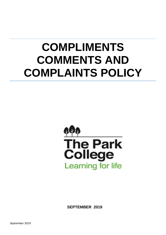# **COMPLIMENTS COMMENTS AND COMPLAINTS POLICY**



**SEPTEMBER 2019**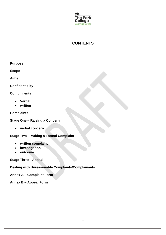

# **CONTENTS**

**Scope**

**Aims**

**Confidentiality**

**Compliments**

- **Verbal**
- **written**

**Complaints**

**Stage One – Raising a Concern**

**verbal concern**

**Stage Two – Making a Formal Complaint**

- **written complaint**
- **investigation**
- **outcome**

**Stage Three - Appeal**

**Dealing with Unreasonable Complaints/Complainants**

**Annex A – Complaint Form**

**Annex B – Appeal Form**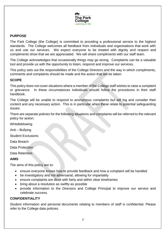

# **PURPOSE**

The Park College (the College) is committed to providing a professional service to the highest standards. The College welcomes all feedback from individuals and organisations that work with us and use our services. We expect everyone to be treated with dignity and respect and compliments show that we are appreciated. We will share compliments with our staff team.

The College acknowledges that occasionally things may go wrong. Complaints can be a valuable tool and provide us with the opportunity to listen, respond and improve our services.

This policy sets out the responsibilities of the College Directors and the way in which compliments, comments and complaints should be made and the action that will be taken.

## **SCOPE**

This policy does not cover situations where a member of the College staff wishes to raise a complaint or grievance. In these circumstances individuals should follow the procedures in their staff handbook.

The College will be unable to respond to anonymous complaints but will log and consider their content and any necessary action. This is in particular when these relate to potential safeguarding issues.

There are separate policies for the following situations and complaints will be referred to the relevant policy for action:

Whistleblowing

Anti – Bullying

Student Exclusions

Data Breach

Data Protection

Data Retention

# **AIMS**

The aims of this policy are to:

- ensure everyone knows how to provide feedback and how a complaint will be handled
- be investigatory and not adversarial, allowing for impartiality
- ensure complaints are dealt with fairly and within clear timeframes
- bring about a resolution as swiftly as possible
- provide information to the Directors and College Principal to improve our service and celebrate success.

# **CONFIDENTIALITY**

Student information and personal documents relating to members of staff is confidential. Please refer to the College data policies.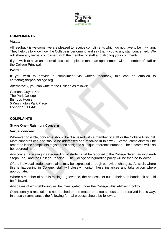

# **COMPLIMENTS**

#### *Verbal*

All feedback is welcome, we are pleased to receive compliments which do not have to be in writing. They help us to know how the College is performing and say thank you to any staff concerned. We will share any verbal compliment with the member of staff and also log your comments.

If you wish to have an informal discussion, please make an appointment with a member of staff or the College Principal.

## *Written*

If you wish to provide a compliment via written feedback, this can be emailed to [catriona@theparkcollege.org](mailto:catriona@theparkcollege.org)

Alternatively, you can write to the College as follows:

Catriona Guyler-Kone The Park College Bishops House 5 Kennington Park Place London SE11 4AS

# **COMPLAINTS**

#### **Stage One - Raising a Concern**

#### *Verbal concern*

Wherever possible, concerns should be discussed with a member of staff or the College Principal. Most concerns can and should be addressed and resolved in this way. Verbal complaints will be recorded in the complaints register and assigned a unique reference number. The outcome will also be recorded here.

Any concerns relating to safeguarding of students will be reported to the College Safeguarding Lead-Steph Lea, and the College Principal. The College safeguarding policy will be then be followed.

Often, individual student complaints may be expressed through behaviour changes. As such, where this is happening in College, staff will closely monitor these instances and take action where appropriate.

Where a member of staff is raising a grievance, the process set out in their staff handbook should be followed.

Any cases of whistleblowing will be investigated under the College whistleblowing policy

Occasionally a resolution is not reached on the matter or is too serious to be resolved in this way. In these circumstances the following formal process should be followed.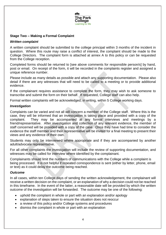

# **Stage Two – Making a Formal Complaint**

#### *Written complaint*

A written complaint should be submitted to the college principal within 3 months of the incident in question. Where this route may raise a conflict of interest, the complaint should be made to the College Directors. The complaint form is attached at annex A to this policy or can be requested from the College reception.

Completed forms should be returned to [see above comments for responsible person/s] by hand, post or email. On receipt of the form, it will be recorded in the complaints register and assigned a unique reference number.

Please include as many details as possible and attach any supporting documentation. Please also detail if there are any witnesses that will need to be called to a meeting or to provide additional evidence.

If the complainant requires assistance to complete the form, they may wish to ask someone to transcribe and submit the form on their behalf. If requested, College staff can also help.

Formal written complaints will be acknowledged, in writing, within 5 College working days.

#### *Investigation*

Complaints can be varied and not all will concern a member of the College staff. Where this is the case, they will be informed that an investigation is taking place and provided with a copy of the complaint. They may be accompanied at any formal interviews and meetings by a friend/representative. After investigation and collection of any relevant evidence, the member of staff concerned will be provided with a copy of the case. Once they have had time to consider the evidence the staff member and their representative will be invited for a final meeting to present their views and any evidence of their own.

Students may only be interviewed where appropriate and if they are accompanied by another adult/advocate representative.

For all other complaints the investigation will include the review of supporting documentation, and witnesses may be called for interview where identified by the complainant.

Complainants should limit the numbers of communications with the College while a complaint is being processed. It is not helpful if repeated correspondence is sent (either by letter, phone, email or text) as it could delay the outcome being reached.

#### *Outcome*

In all cases, within ten College days of sending the written acknowledgement, the complainant will receive a written decision on the complaint, or an explanation of why a decision could not be reached in this timeframe. In the event of the latter, a reasonable date will be provided by which the written outcome of the investigation will be forwarded. The outcome may be one of the following:

- uphold the complaint in whole or part with an explanation and/or apology
- explanation of steps taken to ensure the situation does not reoccur
- a review of this policy and/or College systems and procedures
- dismiss the complaint in whole or part with an explanation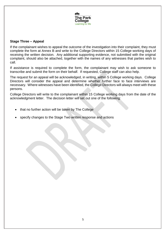

# **Stage Three – Appeal**

If the complainant wishes to appeal the outcome of the investigation into their complaint, they must complete the form at Annex B and write to the College Directors within 15 College working days of receiving the written decision. Any additional supporting evidence, not submitted with the original complaint, should also be attached, together with the names of any witnesses that parties wish to call.

If assistance is required to complete the form, the complainant may wish to ask someone to transcribe and submit the form on their behalf. If requested, College staff can also help.

The request for an appeal will be acknowledged, in writing, within 5 College working days. College Directors will consider the appeal and determine whether further face to face interviews are necessary. Where witnesses have been identified, the College Directors will always meet with these persons.

College Directors will write to the complainant within 15 College working days from the date of the acknowledgment letter. The decision letter will set out one of the following:

- that no further action will be taken by The College
- specify changes to the Stage Two written response and actions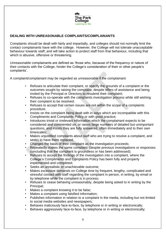

# **DEALING WITH UNREASONABLE COMPLAINTS/COMPLAINANTS**

Complaints should be dealt with fairly and impartially, and colleges should not normally limit the contact complainants have with the college. However, the College will not tolerate unacceptable behaviour towards staff, and will take action to protect staff from that behaviour, including that which is abusive, offensive or threatening.

Unreasonable complainants are defined as 'those who, because of the frequency or nature of their contacts with the College, hinder the College's consideration of their or other people's complaints'.

A complaint/complainant may be regarded as unreasonable if the complainant:

- Refuses to articulate their complaint, or specify the grounds of a complaint or the outcomes sought by raising the complaint, despite offers of assistance and being invited by the Principal or Directors to resubmit their complaint;
- Refuses to co-operate with the complaints investigation process while still wishing their complaint to be resolved;
- Refuses to accept that certain issues are not within the scope of a complaints procedure;
- Insists on the complaint being dealt with in ways which are incompatible with this Compliments and Complaints Policy or with good practice;
- Introduces trivial or irrelevant information which the complainant expects to be considered and commented on, or raises large numbers of detailed but unimportant questions, and insists they are fully answered, often immediately and to their own timescales;
- Makes unjustified complaints about staff who are trying to resolve a complaint, and seeks to have them replaced;
- Changes the basis of their complaint as the investigation proceeds;
- Repeatedly makes the same complaint (despite previous investigations or responses concluding that the complaint is groundless or has been addressed);
- Refuses to accept the findings of the investigation into a complaint, where the College's Compliments and Complaints Policy has been fully and properly implemented and completed;
- Seeks an unrealistic or unachievable outcome:
- Makes excessive demands on College time by frequent, lengthy, complicated and stressful contact with staff regarding the complaint in person, in writing, by email or by telephone while the complaint is in process;
- Refuses to cease behaving unreasonably, despite being asked to in writing by the Principal;
- Makes a complaint knowing it to be false;
- Makes a complaint using falsified information;
- Publishes information in relation to a complaint in the media, including but not limited to social media websites and newspapers;
- Behaves maliciously face-to-face, by telephone or in writing or electronically;
- Behaves aggressively face-to-face, by telephone or in writing or electronically;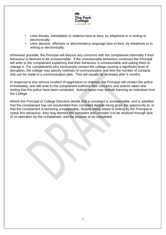

- Uses threats, intimidation or violence face-to-face, by telephone or in writing or electronically;
- Uses abusive, offensive or discriminatory language face-to-face, by telephone or in writing or electronically.

Whenever possible, the Principal will discuss any concerns with the complainant informally if their behaviour is deemed to be unreasonable. If the unreasonable behaviour continues the Principal will write to the complainant explaining that their behaviour is unreasonable and asking them to change it. For complainants who excessively contact the college causing a significant level of disruption, the college may specify methods of communication and limit the number of contacts that can be made in a communication plan. This will usually be reviewed after 6 months.

In response to any serious incident of aggression or violence, the Principal will contact the police immediately, and will write to the complainant outlining their concerns and actions taken and stating that the police have been contacted. Actions taken may include banning an individual from the College.

Where the Principal or College Directors decide that a complaint is unreasonable, and is satisfied that the complainant has not resubmitted their complaint despite being given the opportunity to; or that the complainant is behaving unreasonably, despite being asked in writing by the Principal to cease this behaviour, they may dismiss the complaint and consider it to be resolved through lack of co-operation by the complainant, and the process to be completed.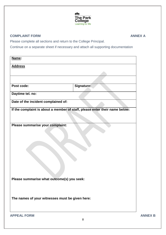

# **COMPLAINT FORM ANNEX A**

Please complete all sections and return to the College Principal.

Continue on a separate sheet if necessary and attach all supporting documentation

| Name:                                           |                                                                             |                |
|-------------------------------------------------|-----------------------------------------------------------------------------|----------------|
| <b>Address</b>                                  |                                                                             |                |
|                                                 |                                                                             |                |
|                                                 |                                                                             |                |
| Post code:                                      | Signature:                                                                  |                |
| Daytime tel. no:                                |                                                                             |                |
| Date of the incident complained of:             |                                                                             |                |
|                                                 | If the complaint is about a member of staff, please enter their name below: |                |
|                                                 |                                                                             |                |
| Please summarise your complaint:                |                                                                             |                |
|                                                 |                                                                             |                |
|                                                 |                                                                             |                |
|                                                 |                                                                             |                |
|                                                 |                                                                             |                |
|                                                 |                                                                             |                |
|                                                 |                                                                             |                |
|                                                 |                                                                             |                |
| Please summarise what outcome(s) you seek:      |                                                                             |                |
|                                                 |                                                                             |                |
| The names of your witnesses must be given here: |                                                                             |                |
|                                                 |                                                                             |                |
|                                                 |                                                                             |                |
| <b>APPEAL FORM</b>                              |                                                                             | <b>ANNEX B</b> |